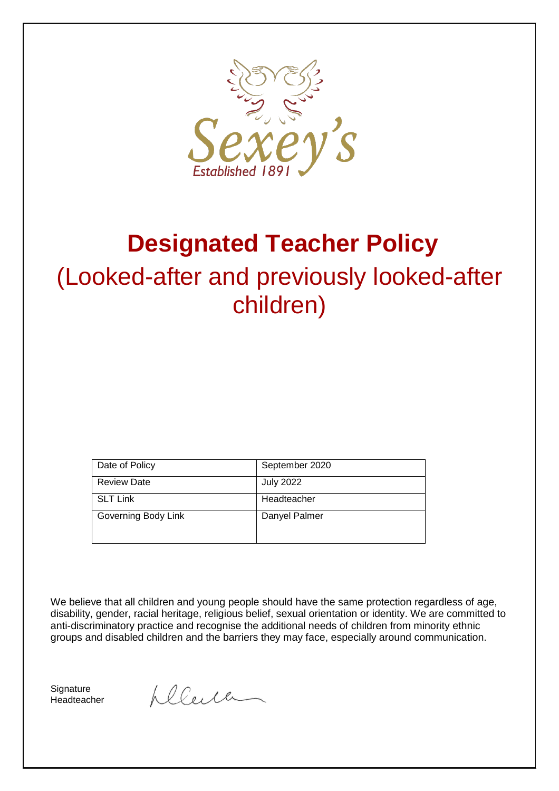

# **Designated Teacher Policy**

# (Looked-after and previously looked-after children)

| Date of Policy      | September 2020   |
|---------------------|------------------|
| <b>Review Date</b>  | <b>July 2022</b> |
| <b>SLT Link</b>     | Headteacher      |
| Governing Body Link | Danyel Palmer    |

We believe that all children and young people should have the same protection regardless of age, disability, gender, racial heritage, religious belief, sexual orientation or identity. We are committed to anti-discriminatory practice and recognise the additional needs of children from minority ethnic groups and disabled children and the barriers they may face, especially around communication.

**Signature** Headteacher

plence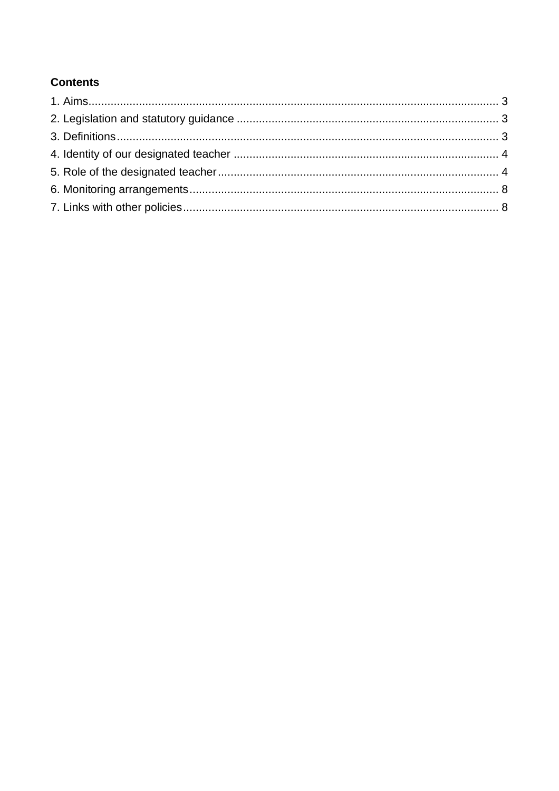# **Contents**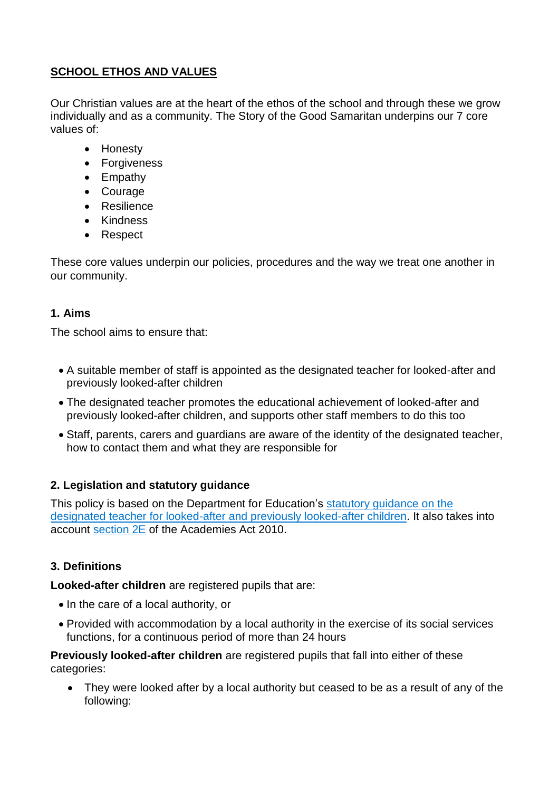# **SCHOOL ETHOS AND VALUES**

Our Christian values are at the heart of the ethos of the school and through these we grow individually and as a community. The Story of the Good Samaritan underpins our 7 core values of:

- Honesty
- Forgiveness
- Empathy
- Courage
- Resilience
- Kindness
- Respect

These core values underpin our policies, procedures and the way we treat one another in our community.

## <span id="page-2-0"></span>**1. Aims**

The school aims to ensure that:

- A suitable member of staff is appointed as the designated teacher for looked-after and previously looked-after children
- The designated teacher promotes the educational achievement of looked-after and previously looked-after children, and supports other staff members to do this too
- Staff, parents, carers and guardians are aware of the identity of the designated teacher, how to contact them and what they are responsible for

## <span id="page-2-1"></span>**2. Legislation and statutory guidance**

This policy is based on the Department for Education's [statutory guidance on the](https://www.gov.uk/government/publications/designated-teacher-for-looked-after-children)  [designated teacher for looked-after and previously looked-after children.](https://www.gov.uk/government/publications/designated-teacher-for-looked-after-children) It also takes into account [section 2E](http://www.legislation.gov.uk/ukpga/2010/32/section/2E) of the Academies Act 2010.

## <span id="page-2-2"></span>**3. Definitions**

**Looked-after children** are registered pupils that are:

- In the care of a local authority, or
- Provided with accommodation by a local authority in the exercise of its social services functions, for a continuous period of more than 24 hours

**Previously looked-after children** are registered pupils that fall into either of these categories:

 They were looked after by a local authority but ceased to be as a result of any of the following: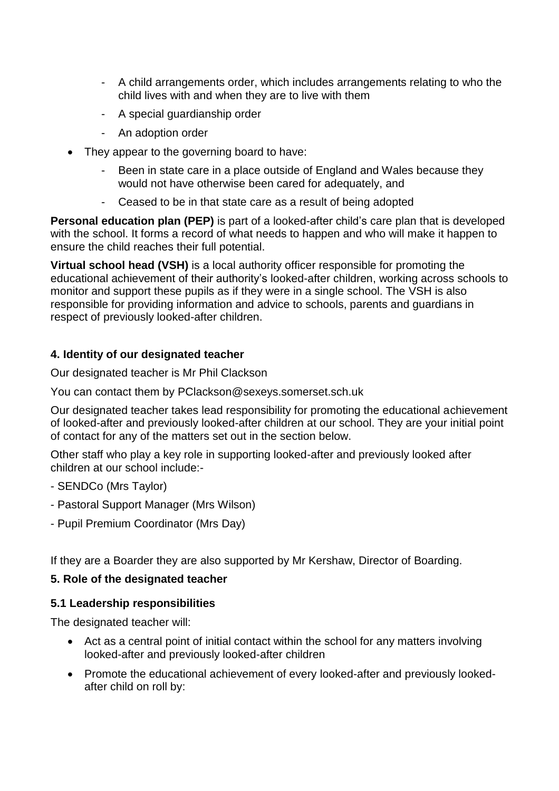- A child arrangements order, which includes arrangements relating to who the child lives with and when they are to live with them
- A special guardianship order
- An adoption order
- They appear to the governing board to have:
	- Been in state care in a place outside of England and Wales because they would not have otherwise been cared for adequately, and
	- Ceased to be in that state care as a result of being adopted

**Personal education plan (PEP)** is part of a looked-after child's care plan that is developed with the school. It forms a record of what needs to happen and who will make it happen to ensure the child reaches their full potential.

**Virtual school head (VSH)** is a local authority officer responsible for promoting the educational achievement of their authority's looked-after children, working across schools to monitor and support these pupils as if they were in a single school. The VSH is also responsible for providing information and advice to schools, parents and guardians in respect of previously looked-after children.

#### <span id="page-3-0"></span>**4. Identity of our designated teacher**

Our designated teacher is Mr Phil Clackson

You can contact them by PClackson@sexeys.somerset.sch.uk

Our designated teacher takes lead responsibility for promoting the educational achievement of looked-after and previously looked-after children at our school. They are your initial point of contact for any of the matters set out in the section below.

Other staff who play a key role in supporting looked-after and previously looked after children at our school include:-

- SENDCo (Mrs Taylor)
- Pastoral Support Manager (Mrs Wilson)
- Pupil Premium Coordinator (Mrs Day)

If they are a Boarder they are also supported by Mr Kershaw, Director of Boarding.

#### <span id="page-3-1"></span>**5. Role of the designated teacher**

#### **5.1 Leadership responsibilities**

The designated teacher will:

- Act as a central point of initial contact within the school for any matters involving looked-after and previously looked-after children
- Promote the educational achievement of every looked-after and previously lookedafter child on roll by: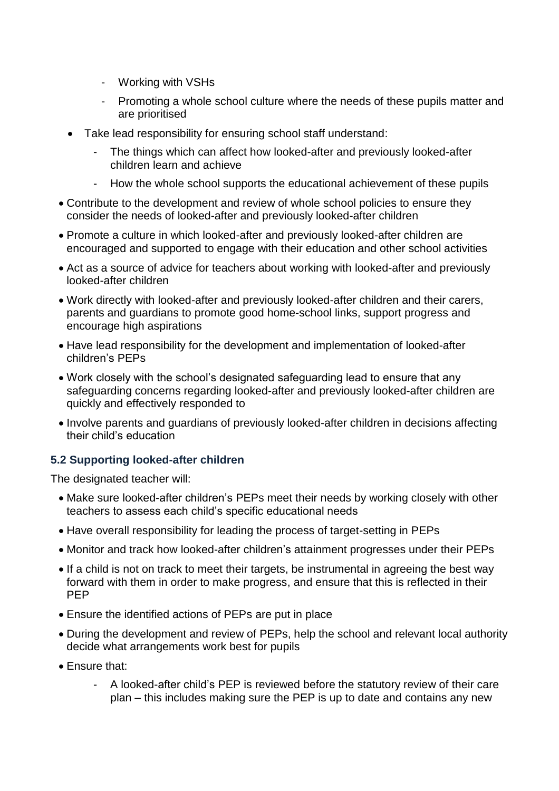- Working with VSHs
- Promoting a whole school culture where the needs of these pupils matter and are prioritised
- Take lead responsibility for ensuring school staff understand:
	- The things which can affect how looked-after and previously looked-after children learn and achieve
	- How the whole school supports the educational achievement of these pupils
- Contribute to the development and review of whole school policies to ensure they consider the needs of looked-after and previously looked-after children
- Promote a culture in which looked-after and previously looked-after children are encouraged and supported to engage with their education and other school activities
- Act as a source of advice for teachers about working with looked-after and previously looked-after children
- Work directly with looked-after and previously looked-after children and their carers, parents and guardians to promote good home-school links, support progress and encourage high aspirations
- Have lead responsibility for the development and implementation of looked-after children's PEPs
- Work closely with the school's designated safeguarding lead to ensure that any safeguarding concerns regarding looked-after and previously looked-after children are quickly and effectively responded to
- Involve parents and guardians of previously looked-after children in decisions affecting their child's education

### **5.2 Supporting looked-after children**

The designated teacher will:

- Make sure looked-after children's PEPs meet their needs by working closely with other teachers to assess each child's specific educational needs
- Have overall responsibility for leading the process of target-setting in PEPs
- Monitor and track how looked-after children's attainment progresses under their PEPs
- If a child is not on track to meet their targets, be instrumental in agreeing the best way forward with them in order to make progress, and ensure that this is reflected in their PEP
- Ensure the identified actions of PEPs are put in place
- During the development and review of PEPs, help the school and relevant local authority decide what arrangements work best for pupils
- **Fnsure that:** 
	- A looked-after child's PEP is reviewed before the statutory review of their care plan – this includes making sure the PEP is up to date and contains any new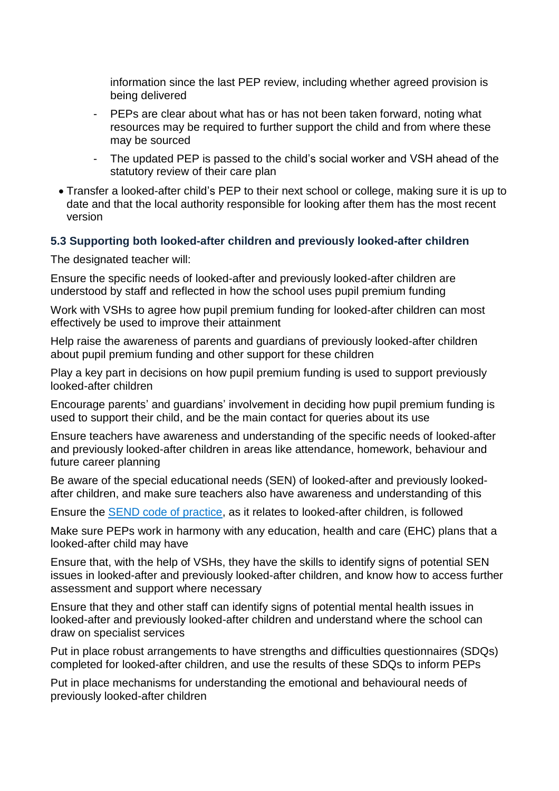information since the last PEP review, including whether agreed provision is being delivered

- PEPs are clear about what has or has not been taken forward, noting what resources may be required to further support the child and from where these may be sourced
- The updated PEP is passed to the child's social worker and VSH ahead of the statutory review of their care plan
- Transfer a looked-after child's PEP to their next school or college, making sure it is up to date and that the local authority responsible for looking after them has the most recent version

#### **5.3 Supporting both looked-after children and previously looked-after children**

The designated teacher will:

Ensure the specific needs of looked-after and previously looked-after children are understood by staff and reflected in how the school uses pupil premium funding

Work with VSHs to agree how pupil premium funding for looked-after children can most effectively be used to improve their attainment

Help raise the awareness of parents and guardians of previously looked-after children about pupil premium funding and other support for these children

Play a key part in decisions on how pupil premium funding is used to support previously looked-after children

Encourage parents' and guardians' involvement in deciding how pupil premium funding is used to support their child, and be the main contact for queries about its use

Ensure teachers have awareness and understanding of the specific needs of looked-after and previously looked-after children in areas like attendance, homework, behaviour and future career planning

Be aware of the special educational needs (SEN) of looked-after and previously lookedafter children, and make sure teachers also have awareness and understanding of this

Ensure the [SEND code of practice,](https://www.gov.uk/government/publications/send-code-of-practice-0-to-25) as it relates to looked-after children, is followed

Make sure PEPs work in harmony with any education, health and care (EHC) plans that a looked-after child may have

Ensure that, with the help of VSHs, they have the skills to identify signs of potential SEN issues in looked-after and previously looked-after children, and know how to access further assessment and support where necessary

Ensure that they and other staff can identify signs of potential mental health issues in looked-after and previously looked-after children and understand where the school can draw on specialist services

Put in place robust arrangements to have strengths and difficulties questionnaires (SDQs) completed for looked-after children, and use the results of these SDQs to inform PEPs

Put in place mechanisms for understanding the emotional and behavioural needs of previously looked-after children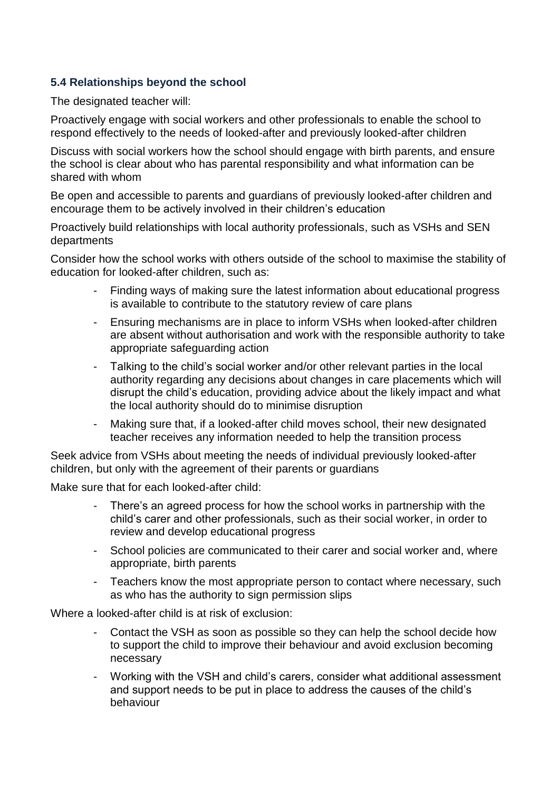## **5.4 Relationships beyond the school**

The designated teacher will:

Proactively engage with social workers and other professionals to enable the school to respond effectively to the needs of looked-after and previously looked-after children

Discuss with social workers how the school should engage with birth parents, and ensure the school is clear about who has parental responsibility and what information can be shared with whom

Be open and accessible to parents and guardians of previously looked-after children and encourage them to be actively involved in their children's education

Proactively build relationships with local authority professionals, such as VSHs and SEN departments

Consider how the school works with others outside of the school to maximise the stability of education for looked-after children, such as:

- Finding ways of making sure the latest information about educational progress is available to contribute to the statutory review of care plans
- Ensuring mechanisms are in place to inform VSHs when looked-after children are absent without authorisation and work with the responsible authority to take appropriate safeguarding action
- Talking to the child's social worker and/or other relevant parties in the local authority regarding any decisions about changes in care placements which will disrupt the child's education, providing advice about the likely impact and what the local authority should do to minimise disruption
- Making sure that, if a looked-after child moves school, their new designated teacher receives any information needed to help the transition process

Seek advice from VSHs about meeting the needs of individual previously looked-after children, but only with the agreement of their parents or guardians

Make sure that for each looked-after child:

- There's an agreed process for how the school works in partnership with the child's carer and other professionals, such as their social worker, in order to review and develop educational progress
- School policies are communicated to their carer and social worker and, where appropriate, birth parents
- Teachers know the most appropriate person to contact where necessary, such as who has the authority to sign permission slips

Where a looked-after child is at risk of exclusion:

- Contact the VSH as soon as possible so they can help the school decide how to support the child to improve their behaviour and avoid exclusion becoming necessary
- Working with the VSH and child's carers, consider what additional assessment and support needs to be put in place to address the causes of the child's behaviour